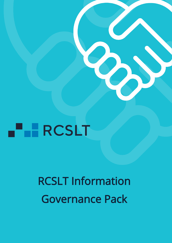# **FERCSLT**

# RCSLT Information Governance Pack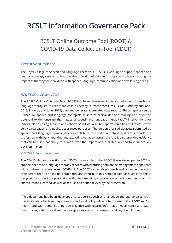# RCSLT Information Governance Pack

# RCSLT Online Outcome Tool (ROOT) & COVID-19 Data Collection Tool (CDCT)

# Executive summary

The Royal College of Speech and Language Therapists (RCSLT) is working to support speech and language therapy services to improve the collection of data and to assist with demonstrating the impact of therapy for individuals with speech, language, communication and swallowing needs.

# RCSLT Online Outcome Tool

The RCSLT Online Outcome Tool (ROOT) has been developed in collaboration with speech and language therapists, to collect and collate Therapy Outcome Measures (TOMs) (Enderby and John, 2015; Enderby and John, 2019) data and generate aggregated data reports. These reports can be utilised by speech and language therapists to inform clinical decision making and offer the potential to demonstrate the impact of speech and language therapy (SLT) interventions for individuals accessing services and cohorts of individuals. The reports could be used to assist with service evaluation and quality assurances purposes. The de-personalised datasets submitted by speech and language therapy services contribute to a national database, which supports the profession with benchmarking and exploring variation across the UK. It also provides evidence that can be used nationally to demonstrate the impact of the profession and to influence key decision makers.

# COVID-19 data collection tool

The COVID-19 data collection tool (CDCT) is a module of the ROOT. It was developed in 2020 to support speech and language therapy services with capturing data on the management of patients with confirmed and suspected COVID-19. The CDCT also enables speech and language therapists to generate reports on the data submitted and contribute to a national database. Similarly, this is designed to support the profession with benchmarking, exploring variation across the UK and to shared lessons learned, as well as for use at a national level by the profession.

This document has been developed to support speech and language therapy services with understanding the legal requirements and local policy relevant to the use of the ROOT and/or CDCT, and with demonstrating due diligence with regards information governance and data security legislation. Local and national policies and procedures must always be followed.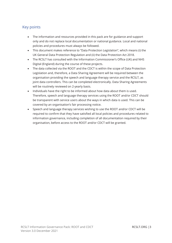# Key points

- The information and resources provided in this pack are for guidance and support only and do not replace local documentation or national guidance. Local and national policies and procedures must always be followed.
- This document makes reference to "Data Protection Legislation", which means (i) the UK General Data Protection Regulation and (ii) the Data Protection Act 2018.
- The RCSLT has consulted with the Information Commissioner's Office (UK) and NHS Digital (England) during the course of these projects.
- The data collected via the ROOT and the CDCT is within the scope of Data Protection Legislation and, therefore, a Data Sharing Agreement will be required between the organisation providing the speech and language therapy service and the RCSLT, as joint data controllers. This can be completed electronically. Data Sharing Agreements will be routinely reviewed on 2-yearly basis.
- Individuals have the right to be informed about how data about them is used. Therefore, speech and language therapy services using the ROOT and/or CDCT should be transparent with service users about the ways in which data is used. This can be covered by an organisation's fair processing notice.
- Speech and language therapy services wishing to use the ROOT and/or CDCT will be required to confirm that they have satisfied all local policies and procedures related to information governance, including completion of all documentation required by their organisation, before access to the ROOT and/or CDCT will be granted.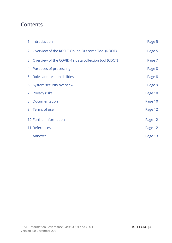# **Contents**

| 1. Introduction                                         | Page 5  |
|---------------------------------------------------------|---------|
| 2. Overview of the RCSLT Online Outcome Tool (ROOT)     | Page 5  |
| 3. Overview of the COVID-19 data collection tool (CDCT) | Page 7  |
| 4. Purposes of processing                               | Page 8  |
| 5. Roles and responsibilities                           | Page 8  |
| 6. System security overview                             | Page 9  |
| 7. Privacy risks                                        | Page 10 |
| 8. Documentation                                        | Page 10 |
| 9. Terms of use                                         | Page 12 |
| 10. Further information                                 | Page 12 |
| 11. References                                          | Page 12 |
| Annexes                                                 | Page 13 |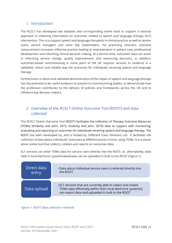# 1. Introduction

The RCSLT has developed two datasets and corresponding online tools to support a national approach to collecting information on outcomes related to speech and language therapy (SLT) intervention. This is to support speech and language therapists in clinical practice as well as service users, service managers and other key stakeholders. For practising clinicians, outcome measurement increases reflective practice leading to improvements in patient care, professional development and informing clinical decision making. At a service level, outcomes data can assist in informing service change, quality improvement, and resourcing decisions. In addition, outcomes-based commissioning in some parts of the UK requires services to evidence in a validated, robust and reliable way the outcomes for individuals receiving speech and language therapy.

Furthermore, a robust and validated demonstration of the impact of speech and language therapy has the potential to be useful evidence to present to commissioning bodies, to demonstrate how the profession contributes to the delivery of policies and frameworks across the UK and to influence key decision makers.

# 2. Overview of the RCSLT Online Outcome Tool (ROOT) and data collected

The RCSLT Online Outcome Tool (ROOT) facilitates the collection of Therapy Outcome Measures (TOMs) (Enderby and John, 2015; Enderby and John, 2019) data to support with monitoring, evaluating and reporting on outcomes for individuals receiving speech and language therapy. The ROOT has been developed by, and is hosted by, Different Class Solutions Ltd. It facilitates the collection of data about individuals' outcomes at different points in time, using TOMs. It is a standalone online tool that collects, collates and reports on outcomes data.

SLT services can enter TOMs data for service users directly into the ROOT, or, alternatively, data held in local electronic systems/databases can be uploaded in bulk to the ROOT (Figure 1).



Figure 1: ROOT data collection methods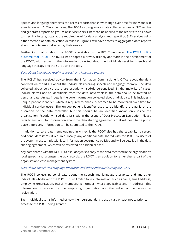Speech and language therapists can access reports that show change over time for individuals in association with SLT interventions. The ROOT also aggregates data collected across an SLT service and generates reports on groups of service users. Filters can be applied to the reports to drill down to specific clinical groups at the required level for data analysis and reporting. SLT services using either method of data collection detailed in Figure 1 will have access to aggregated data reports about the outcomes delivered by their service.

Further information about the ROOT is available on the RCSLT webpages: [The RCSLT online](https://www.rcslt.org/speech-and-language-therapy/guidance-for-delivering-slt-services/outcome-measurement/outcome-tool-overview/)  [outcome tool \(ROOT\)](https://www.rcslt.org/speech-and-language-therapy/guidance-for-delivering-slt-services/outcome-measurement/outcome-tool-overview/) The RCSLT has adopted a privacy-friendly approach in the development of the ROOT, with respect to the information collected about the individuals receiving speech and language therapy and the SLTs using the tool.

### Data about individuals receiving speech and language therapy

The RCSLT has received advice from the Information Commissioner's Office about the data collected via the ROOT about the individuals receiving speech and language therapy. The data collected about service users are pseudonymised/de-personalised. In the majority of cases, individuals will not be identifiable from the data, nevertheless, the data should be treated as personal data. Annex 1 details the core information collected about individuals. This includes a unique patient identifier, which is required to enable outcomes to be monitored over time for individual service users. The unique patient identifier used to de-identify the data is at the discretion of the data controller, but this should be an identifier known only inside the organisation. Pseudonymised data falls within the scope of Data Protection Legislation. Please refer to section 8 for information about the data sharing agreements that will need to be put in place before any information can be submitted to the ROOT.

In addition to core data items outlined in Annex 1, the ROOT also has the capability to record additional data items, if required, locally; any additional data shared with the ROOT by users of the system must comply with local information governance policies and will be detailed in the data sharing agreement, which will be reviewed on a biennial basis.

Any data shared with the ROOT is a pseudonymised copy of the data recorded in the organisation's local speech and language therapy records; the ROOT is an addition to rather than a part of the organisation's case management system.

# Data about speech and language therapists and other individuals using the ROOT

The ROOT collects personal data about the speech and language therapists and any other individuals who have to the ROOT. This is limited to key information, such as name, email address, employing organisation, RCSLT membership number (where applicable) and IP address. This information is provided by the employing organisation and the individual themselves on registration.

Each individual user is informed of how their personal data is used via a privacy notice prior to access to the ROOT being granted.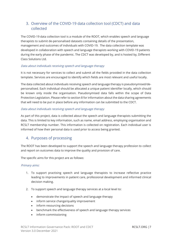# 3. Overview of the COVID-19 data collection tool (CDCT) and data collected

The COVID-19 data collection tool is a module of the ROOT, which enables speech and language therapists to submit de-personalised datasets containing details of the presentation, management and outcomes of individuals with COVID-19. The data collection template was developed in collaboration with speech and language therapists working with COVID-19 patients during the early phase of the pandemic. The CDCT was developed by, and is hosted by, Different Class Solutions Ltd.

# Data about individuals receiving speech and language therapy

It is not necessary for services to collect and submit all the fields provided in the data collection template. Services are encouraged to identify which fields are most relevant and useful locally.

The data collected about individuals receiving speech and language therapy is pseudonymised/depersonalised. Each individual should be allocated a unique patient identifier locally, which should be known only inside the organisation. Pseudonymised data falls within the scope of Data Protection Legislation. Please refer to section 8 for information about the data sharing agreements that will need to be put in place before any information can be submitted to the CDCT.

# Data about individuals receiving speech and language therapy

As part of this project, data is collected about the speech and language therapists submitting the data. This is limited to key information, such as name, email address, employing organisation and RCSLT membership number. This information is collected on registration. Each individual user is informed of how their personal data is used prior to access being granted.

# 4. Purposes of processing

The ROOT has been developed to support the speech and language therapy profession to collect and report on outcomes data to improve the quality and provision of care.

The specific aims for this project are as follows:

# Primary aims:

- 1. To support practising speech and language therapists to increase reflective practice leading to improvements in patient care, professional development and informed clinical decision making.
- 2. To support speech and language therapy services at a local level to:
	- demonstrate the impact of speech and language therapy
	- inform service change/quality improvement
	- inform resourcing decisions
	- benchmark the effectiveness of speech and language therapy services
	- inform commissioning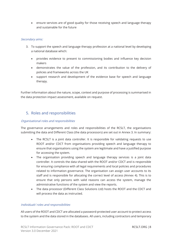• ensure services are of good quality for those receiving speech and language therapy and sustainable for the future

# Secondary aims:

- 3. To support the speech and language therapy profession at a national level by developing a national database which:
	- provides evidence to present to commissioning bodies and influence key decision makers
	- demonstrates the value of the profession, and its contribution to the delivery of policies and frameworks across the UK
	- support research and development of the evidence base for speech and language therapy.

Further information about the nature, scope, context and purpose of processing is summarised in the data protection impact assessment, available on request.

# 5. Roles and responsibilities

# Organisational roles and responsibilities

The governance arrangements and roles and responsibilities of the RCSLT, the organisations submitting the data and Different Class (the data processors) are set out in Annex 3. In summary:

- The RCSLT is a joint data controller. It is responsible for validating requests to use ROOT and/or CDCT from organisations providing speech and language therapy to ensure that organisations using the system are legitimate and have a justified purpose for accessing the system.
- The organisation providing speech and language therapy services is a joint data controller. It controls the data shared with the ROOT and/or CDCT and is responsible for ensuring compliance with all legal requirements and local policies and procedures related to information governance. The organisation can assign user accounts to its staff and is responsible for allocating the correct level of access (Annex 4). This is to ensure that only persons with valid reasons can access the system, manage the administrative functions of the system and view the reports.
- The data processor (Different Class Solutions Ltd) hosts the ROOT and the CDCT and will process the data as instructed.

# Individuals' roles and responsibilities

All users of the ROOT and CDCT are allocated a password-protected user account to protect access to the system and the data stored in the databases. All users, including contractors and temporary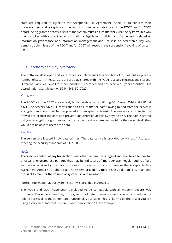staff, are required to agree to the Acceptable Use Agreement (Annex 5) to confirm their understanding and acceptance of what constitutes acceptable use of the ROOT and/or CDCT before being granted access. Users of the system must ensure that they use the systems in a way that complies with current local and national legislation, policies and frameworks related to information governance and information management and use it in an acceptable way. Any demonstrable misuse of the ROOT and/or CDCT will result in the suspension/revoking of system use.

# 6. System security overview

The software developer and data processor, Different Class Solutions Ltd, has put in place a number of security measures to ensure data shared with the ROOT is secure in transit and storage. Different Class Solutions Ltd is ISO 27001:2013 certified and has achieved Cyber Essentials Plus accreditation (Certificate no.: 5944466513017922).

# Encryption

The ROOT and the CDCT are securely hosted web systems utilising SQL Server 2016 and ASP.net 4.6.1. The servers have SSL certification to ensure that all data flowing to and from the server is encrypted and could not be deciphered if intercepted in transit. The servers are protected by firewalls to protect the data and prevent unauthorised access by anyone else. The data is stored using an encryption algorithm so that if anyone physically removed a disk or the server itself, they would not be able to access the data.

# Servers

The servers are located in UK data centres. The data centre is provided by Microsoft Azure, all meeting the security standards of ISO27001.

# Audit

The specific content of any transactions and other system use is logged and monitored to look for unusual/unexpected use patterns that may be indicators of improper use. Regular audits of use will be undertaken by the data processor to monitor this and to ensure the Acceptable Use Agreement (Annex 5) is adhered to. The system provider, Different Class Solutions Ltd, maintains the right to monitor the volume of system use and navigation.

Further information about system security is provided in Annex 7.

The ROOT and CDCT have been developed to be compatible with all modern, secure web browsers. Please be aware that, if using an out of date or insecure web browser, you will not be able to access all of the content and functionality available. This is likely to be the case if you are using a version of Internet Explorer older than version 11, for example.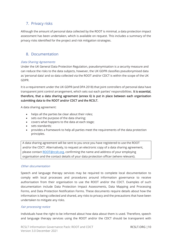# 7. Privacy risks

Although the amount of personal data collected by the ROOT is minimal, a data protection impact assessment has been undertaken, which is available on request. This includes a summary of the privacy risks identified for the project and risk mitigation strategies.

# 8. Documentation

# Data Sharing Agreements

Under the UK General Data Protection Regulation, pseudonymisation is a security measure and can reduce the risks to the data subjects, however, the UK GDPR classifies pseudonymised data as 'personal data' and so data collected via the ROOT and/or CDCT is within the scope of the UK GDPR.

It is a requirement under the UK GDPR (and DPA 2018) that joint controllers of personal data have transparent joint control arrangement, which sets out each parties' responsibilities. It is essential, therefore, that a data sharing agreement (annex 6) is put in place between each organisation submitting data to the ROOT and/or CDCT and the RCSLT.

A data sharing agreement:

- helps all the parties be clear about their roles;
- sets out the purpose of the data sharing;
- covers what happens to the data at each stage;
- sets standards;
- provides a framework to help all parties meet the requirements of the data protection principles.

A data sharing agreement will be sent to you once you have registered to use the ROOT and/or the CDCT. Alternatively, to request an electronic copy of a data sharing agreement, please contact [ROOT@rcslt.org,](mailto:ROOT@rcslt.org) confirming the name and address of your employing organisation and the contact details of your data protection officer (where relevant).

# Other documentation

Speech and language therapy services may be required to complete local documentation to comply with local processes and procedures around information governance to receive authorisation from their organisation to use the ROOT and/or the CDCT. Examples of such documentation include Data Protection Impact Assessments, Data Mapping and Processing Forms, and Data Protection Notification Forms. These documents require details about how the information is being collected and shared, any risks to privacy and the precautions that have been undertaken to mitigate any risks.

# Fair processing notice

Individuals have the right to be informed about how data about them is used. Therefore, speech and language therapy services using the ROOT and/or the CDCT should be transparent with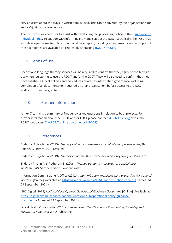service users about the ways in which data is used. This can be covered by the organisation's (or service's) fair processing notice.

The ICO provides checklists to assist with developing fair processing notice in their guidance on [individual rights.](https://ico.org.uk/for-organisations/guide-to-data-protection/guide-to-the-general-data-protection-regulation-gdpr/individual-rights/) To support with informing individuals about the ROOT specifically, the RCSLT has also developed some templates that could be adapted, including an easy-read version. Copies of these templates are available on request by contacting [ROOT@rcslt.org.](mailto:ROOT@rcslt.org)

# 9. Terms of use

Speech and language therapy services will be required to confirm that they agree to the terms of use when registering to use the ROOT and/or the CDCT. They will also need to confirm that they have satisfied all local policies and procedures related to information governance, including completion of all documentation required by their organisation, before access to the ROOT and/or CDCT will be granted.

# 10. Further information

Annex 7 contains a summary of frequently asked questions in relation to both projects. For further information about the ROOT and/or CDCT please contact [ROOT@rcslt.org](mailto:ROOT@rcslt.org) or visit the RCSLT webpages: [The RCSLT online outcome tool \(ROOT\)](https://www.rcslt.org/speech-and-language-therapy/guidance-for-delivering-slt-services/outcome-measurement/outcome-tool-overview/)

# 11. References

Enderby, P. & John, A. (2015). Therapy outcome measures for rehabilitation professionals, Third Edition. Guildford: J&R Press Ltd

Enderby, P. & John, A. (2019). Therapy Outcome Measure User Guide. Croydon: J & R Press Ltd

Enderby P, John A, & Petheram B. (2006). Therapy outcome measures for rehabilitation professionals, Second edition. London: Wiley

Information Commissioner's Office (2012). Anonymisation: managing data protection risk code of practice. [Online]. Available at: <https://ico.org.uk/media/1061/anonymisation-code.pdf> <Accessed 29 September 2021>.

NHS Digital (2019) National Data Opt-out Operational Guidance Document. [Online]. Available at: [https://digital.nhs.uk/services/national-data-opt-out/operational-policy-guidance](https://digital.nhs.uk/services/national-data-opt-out/operational-policy-guidance-document)[document](https://digital.nhs.uk/services/national-data-opt-out/operational-policy-guidance-document) <Accessed 29 September 2021>.

World Health Organization (2001). *International Classification of Functioning, Disability and* Health (ICF). Geneva: WHO Publishing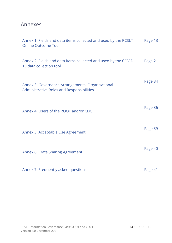# Annexes

| Annex 1: Fields and data items collected and used by the RCSLT<br><b>Online Outcome Tool</b>  | Page 13 |
|-----------------------------------------------------------------------------------------------|---------|
| Annex 2: Fields and data items collected and used by the COVID-<br>19 data collection tool    | Page 21 |
| Annex 3: Governance Arrangements: Organisational<br>Administrative Roles and Responsibilities | Page 34 |
| Annex 4: Users of the ROOT and/or CDCT                                                        | Page 36 |
| Annex 5: Acceptable Use Agreement                                                             | Page 39 |
| Annex 6: Data Sharing Agreement                                                               | Page 40 |
| Annex 7: Frequently asked questions                                                           | Page 41 |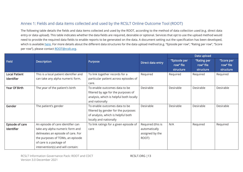# Annex 1: Fields and data items collected and used by the RCSLT Online Outcome Tool (ROOT)

The following table details the fields and data items collected and used by the ROOT, according to the method of data collection used (e.g. direct data entry or data upload). This table indicates whether the data fields are required, desirable or optional. Services that opt to use the upload method would need to provide the required data fields to enable reports to be generated on the data. A document setting out the specification has been developed, which is availabl[e here.](https://rcslt-root.org/Content/getting-ready-to-use-the-root) For more details about the different data structures for the data upload method (e.g. "Episode per row", "Rating per row", "Score per row"), please contact [ROOT@rcslt.org.](mailto:ROOT@rcslt.org)

|                      |                                        |                                         |                   |              | Data upload      |            |
|----------------------|----------------------------------------|-----------------------------------------|-------------------|--------------|------------------|------------|
| <b>Field</b>         | <b>Description</b>                     | Purpose                                 | Direct data entry | "Episode per | "Rating per      | "Score per |
|                      |                                        |                                         |                   | row" file    | row" file        | row" file  |
|                      |                                        |                                         |                   | structure    | <b>structure</b> | structure  |
| <b>Local Patient</b> | This is a local patient identifier and | To link together records for a          | Required          | Required     | Required         | Required   |
| Identifier           | can take any alpha numeric form.       | particular patient across episodes of   |                   |              |                  |            |
|                      |                                        | care.                                   |                   |              |                  |            |
| <b>Year Of Birth</b> | The year of the patient's birth        | To enable outcomes data to be           | Desirable         | Desirable    | Desirable        | Desirable  |
|                      |                                        | filtered by age for the purposes of     |                   |              |                  |            |
|                      |                                        | analysis, which is helpful both locally |                   |              |                  |            |
|                      |                                        | and nationally                          |                   |              |                  |            |
| Gender               | The patient's gender                   | To enable outcomes data to be           | Desirable         | Desirable    | Desirable        | Desirable  |
|                      |                                        | filtered by gender for the purposes     |                   |              |                  |            |
|                      |                                        | of analysis, which is helpful both      |                   |              |                  |            |
|                      |                                        | locally and nationally                  |                   |              |                  |            |
| Episode of care      | An episode of care identifier can      | To link ratings for a given episode of  | Required (this is | N/A          | Required         | Required   |
| Identifier           | take any alpha numeric form and        | care                                    | automatically     |              |                  |            |
|                      | delineates an episode of care. For     |                                         | assigned by the   |              |                  |            |
|                      | the purposes of TOMs, an episode       |                                         | ROOT)             |              |                  |            |
|                      | of care is a package of                |                                         |                   |              |                  |            |
|                      | intervention(s) and will contain:      |                                         |                   |              |                  |            |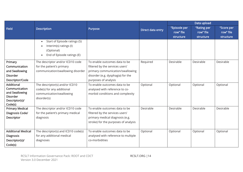|                                   |                                                                                                                 |                                      |                   |              | Data upload |            |
|-----------------------------------|-----------------------------------------------------------------------------------------------------------------|--------------------------------------|-------------------|--------------|-------------|------------|
| <b>Field</b>                      | <b>Description</b>                                                                                              | Purpose                              | Direct data entry | "Episode per | "Rating per | "Score per |
|                                   |                                                                                                                 |                                      |                   | row" file    | row" file   | row" file  |
|                                   |                                                                                                                 |                                      |                   | structure    | structure   | structure  |
|                                   | Start of Episode ratings (S)<br>$\bullet$<br>Interim(s) ratings (I)<br>(Optional)<br>End of Episode ratings (E) |                                      |                   |              |             |            |
| Primary                           | The descriptor and/or ICD10 code                                                                                | To enable outcomes data to be        | Required          | Desirable    | Desirable   | Desirable  |
| Communication                     | for the patient's primary                                                                                       | filtered by the services users'      |                   |              |             |            |
| and Swallowing                    | communication/swallowing disorder                                                                               | primary communication/swallowing     |                   |              |             |            |
| <b>Disorder</b>                   |                                                                                                                 | disorder (e.g. dysphagia) for the    |                   |              |             |            |
| Descriptor/Code                   |                                                                                                                 | purposes of analysis                 |                   |              |             |            |
| Additional                        | The descriptor(s) and/or ICD10                                                                                  | To enable outcomes data to be        | Optional          | Optional     | Optional    | Optional   |
| Communication                     | code(s) for any additional                                                                                      | analysed with reference to co-       |                   |              |             |            |
| and Swallowing                    | communication/swallowing                                                                                        | morbid conditions and complexity     |                   |              |             |            |
| <b>Disorder</b><br>Descriptor(s)/ | disorder(s)                                                                                                     |                                      |                   |              |             |            |
| Code(s)                           |                                                                                                                 |                                      |                   |              |             |            |
| <b>Primary Medical</b>            | The descriptor and/or ICD10 code                                                                                | To enable outcomes data to be        | Desirable         | Desirable    | Desirable   | Desirable  |
| Diagnosis Code/                   | for the patient's primary medical                                                                               | filtered by the services users'      |                   |              |             |            |
| Descriptor                        | diagnosis                                                                                                       | primary medical diagnosis (e.g.      |                   |              |             |            |
|                                   |                                                                                                                 | stroke) for the purposes of analysis |                   |              |             |            |
|                                   |                                                                                                                 |                                      |                   |              |             |            |
| <b>Additional Medical</b>         | The descriptor(s) and ICD10 code(s)                                                                             | To enable outcomes data to be        | Optional          | Optional     | Optional    | Optional   |
| <b>Diagnosis</b>                  | for any additional medical                                                                                      | analysed with reference to multiple  |                   |              |             |            |
| Descriptor(s)/                    | diagnoses                                                                                                       | co-morbidities                       |                   |              |             |            |
| Code(s)                           |                                                                                                                 |                                      |                   |              |             |            |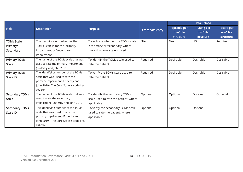|                       |                                        |                                       |                   |              | Data upload      |            |
|-----------------------|----------------------------------------|---------------------------------------|-------------------|--------------|------------------|------------|
| <b>Field</b>          | <b>Description</b>                     | Purpose                               | Direct data entry | "Episode per | "Rating per      | "Score per |
|                       |                                        |                                       |                   | row" file    | row" file        | row" file  |
|                       |                                        |                                       |                   | structure    | <b>structure</b> | structure  |
| <b>TOMs Scale</b>     | The description of whether the         | To indicate whether the TOMs scale    | N/A               | N/A          | N/A              | Required   |
| Primary/              | TOMs Scale is for the 'primary'        | is 'primary' or 'secondary' where     |                   |              |                  |            |
| Secondary             | impairment or 'secondary'              | more than one scale is used           |                   |              |                  |            |
|                       | impairment                             |                                       |                   |              |                  |            |
| <b>Primary TOMs</b>   | The name of the TOMs scale that was    | To identify the TOMs scale used to    | Required          | Desirable    | Desirable        | Desirable  |
| <b>Scale</b>          | used to rate the primary impairment    | rate the patient                      |                   |              |                  |            |
|                       | (Enderby and John 2019)                |                                       |                   |              |                  |            |
| <b>Primary TOMs</b>   | The identifying number of the TOMs     | To verify the TOMs scale used to      | Required          | Desirable    | Desirable        | Desirable  |
| <b>Scale ID</b>       | scale that was used to rate the        | rate the patient                      |                   |              |                  |            |
|                       | primary impairment (Enderby and        |                                       |                   |              |                  |            |
|                       | John 2019). The Core Scale is coded as |                                       |                   |              |                  |            |
|                       | $0$ (zero).                            |                                       |                   |              |                  |            |
| <b>Secondary TOMs</b> | The name of the TOMs scale that was    | To identify the secondary TOMs        | Optional          | Optional     | Optional         | Optional   |
| <b>Scale</b>          | used to rate the secondary             | scale used to rate the patient, where |                   |              |                  |            |
|                       | impairment (Enderby and John 2019)     | applicable                            |                   |              |                  |            |
| <b>Secondary TOMs</b> | The identifying number of the TOMs     | To verify the secondary TOMs scale    | Optional          | Optional     | Optional         |            |
| <b>Scale ID</b>       | scale that was used to rate the        | used to rate the patient, where       |                   |              |                  |            |
|                       | primary impairment (Enderby and        | applicable                            |                   |              |                  |            |
|                       | John 2019). The Core Scale is coded as |                                       |                   |              |                  |            |
|                       | $0$ (zero).                            |                                       |                   |              |                  |            |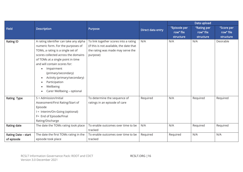|                     |                                                                                                                                                                                                                                                                                                                                                               |                                                                                                                                    |                   | Data upload  |             |            |
|---------------------|---------------------------------------------------------------------------------------------------------------------------------------------------------------------------------------------------------------------------------------------------------------------------------------------------------------------------------------------------------------|------------------------------------------------------------------------------------------------------------------------------------|-------------------|--------------|-------------|------------|
| <b>Field</b>        | <b>Description</b>                                                                                                                                                                                                                                                                                                                                            | Purpose                                                                                                                            | Direct data entry | "Episode per | "Rating per | "Score per |
|                     |                                                                                                                                                                                                                                                                                                                                                               |                                                                                                                                    |                   | row" file    | row" file   | row" file  |
|                     |                                                                                                                                                                                                                                                                                                                                                               |                                                                                                                                    |                   | structure    | structure   | structure  |
| <b>Rating ID</b>    | A rating identifier can take any alpha<br>numeric form. For the purposes of<br>TOMs, a rating is a single set of<br>scores collected across the domains<br>of TOMs at a single point in time<br>and will contain scores for:<br>Impairment<br>(primary/secondary)<br>Activity (primary/secondary)<br>Participation<br>Wellbeing<br>Carer Wellbeing - optional | To link together scores into a rating<br>(if this is not available, the date that<br>the rating was made may serve the<br>purpose) | N/A               | N/A          | N/A         | Desirable  |
| <b>Rating Type</b>  | $S =$ Admission/Initial<br>Assessment/First Rating/Start of<br>Episode<br>I = Interim/On-Going (optional)<br>F= End of Episode/Final<br>Rating/Discharge                                                                                                                                                                                                      | To determine the sequence of<br>ratings in an episode of care                                                                      | Required          | N/A          | Required    | Required   |
| Rating date         | The date the TOMs rating took place                                                                                                                                                                                                                                                                                                                           | To enable outcomes over time to be<br>tracked                                                                                      | N/A               | N/A          | Required    | Required   |
| Rating Date - start | The date the first TOMs rating in the                                                                                                                                                                                                                                                                                                                         | To enable outcomes over time to be                                                                                                 | Required          | Required     | N/A         | N/A        |
| of episode          | episode took place                                                                                                                                                                                                                                                                                                                                            | tracked                                                                                                                            |                   |              |             |            |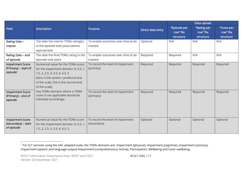|                                                                         |                                                                                                                                                                                                              |                                                  |                   |                                        | Data upload                           |                                      |
|-------------------------------------------------------------------------|--------------------------------------------------------------------------------------------------------------------------------------------------------------------------------------------------------------|--------------------------------------------------|-------------------|----------------------------------------|---------------------------------------|--------------------------------------|
| <b>Field</b>                                                            | <b>Description</b>                                                                                                                                                                                           | Purpose                                          | Direct data entry | "Episode per<br>row" file<br>structure | "Rating per<br>row" file<br>structure | "Score per<br>row" file<br>structure |
| <b>Rating Date -</b><br>interim                                         | The date the interim TOMs rating(s)<br>in the episode took place (where<br>appropriate)                                                                                                                      | To enable outcomes over time to be<br>tracked    | Optional          | N/A                                    | N/A                                   | N/A                                  |
| Rating Date - end<br>of episode                                         | The date the final TOMs rating in the<br>episode took place                                                                                                                                                  | To enable outcomes over time to be<br>tracked    | Required          | Required                               | N/A                                   | N/A                                  |
| <b>Impairment Score</b><br>(Primary) – start of<br>episode <sup>1</sup> | Numerical value for the TOMs score<br>for the impairment domain: 0, 0.5, 1,<br>1.5, 2, 2.5, 3, 3.5, 4, 4.5, 5<br>(Zero is the severe / profound end<br>of the scale, five is the normal end<br>of the scale) | To record the level of impairment<br>(primary)   | Required          | Required                               | Required                              | Required                             |
| <b>Impairment Score</b><br>(Primary) – end of<br>episode                | Any TOMs domains where a TOMs<br>score is not applicable should be<br>indicated accordingly.                                                                                                                 | To record the level of impairment<br>(primary)   | Required          | Required                               | Required                              | Required                             |
| <b>Impairment Score</b><br>(Secondary) – start<br>of episode            | Numerical value for the TOMs score<br>for the impairment domain: 0, 0.5, 1,<br>1.5, 2, 2.5, 3, 3.5, 4, 4.5, 5                                                                                                | To record the level of impairment<br>(secondary) | Optional          | Optional                               | Optional                              | Optional                             |

 $^{\text{\tiny{1}}}$  For SLT services using the AAC adapted scale, the TOMs domains are: Impairment (physical), Impairment (cognitive), Impairment (sensory), Impairment (speech and language output) Impairment (comprehension), Activity, Participation, Wellbeing and Carer-wellbeing.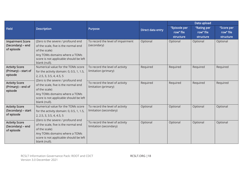|                                              |                                          |                                                           |                   |              | Data upload |            |
|----------------------------------------------|------------------------------------------|-----------------------------------------------------------|-------------------|--------------|-------------|------------|
| <b>Field</b>                                 | <b>Description</b>                       | Purpose                                                   | Direct data entry | "Episode per | "Rating per | "Score per |
|                                              |                                          |                                                           |                   | row" file    | row" file   | row" file  |
|                                              |                                          |                                                           |                   | structure    | structure   | structure  |
| <b>Impairment Score</b>                      | (Zero is the severe / profound end       | To record the level of impairment                         | Optional          | Optional     | Optional    | Optional   |
| (Secondary) – end                            | of the scale, five is the normal end     | (secondary)                                               |                   |              |             |            |
| of episode                                   | of the scale)                            |                                                           |                   |              |             |            |
|                                              | Any TOMs domains where a TOMs            |                                                           |                   |              |             |            |
|                                              | score is not applicable should be left   |                                                           |                   |              |             |            |
|                                              | blank (null).                            |                                                           |                   |              |             |            |
| <b>Activity Score</b>                        | Numerical value for the TOMs score       | To record the level of activity                           | Required          | Required     | Required    | Required   |
| (Primary) – start of<br>episode              | for the activity domain: 0, 0.5, 1, 1.5, | limitation (primary)                                      |                   |              |             |            |
|                                              | 2, 2.5, 3, 3.5, 4, 4.5, 5                |                                                           |                   |              |             |            |
| <b>Activity Score</b>                        | (Zero is the severe / profound end       | To record the level of activity                           | Required          | Required     | Required    | Required   |
| (Primary) – end of                           | of the scale, five is the normal end     | limitation (primary)                                      |                   |              |             |            |
| episode                                      | of the scale)                            |                                                           |                   |              |             |            |
|                                              | Any TOMs domains where a TOMs            |                                                           |                   |              |             |            |
|                                              | score is not applicable should be left   |                                                           |                   |              |             |            |
|                                              | blank (null).                            |                                                           |                   |              |             |            |
| <b>Activity Score</b><br>(Secondary) - start | Numerical value for the TOMs score       | To record the level of activity<br>limitation (secondary) | Optional          | Optional     | Optional    | Optional   |
| of episode                                   | for the activity domain: 0, 0.5, 1, 1.5, |                                                           |                   |              |             |            |
|                                              | 2, 2.5, 3, 3.5, 4, 4.5, 5                |                                                           |                   |              |             |            |
| <b>Activity Score</b>                        | (Zero is the severe / profound end       | To record the level of activity                           | Optional          | Optional     | Optional    | Optional   |
| (Secondary) – end                            | of the scale, five is the normal end     | limitation (secondary)                                    |                   |              |             |            |
| of episode                                   | of the scale)                            |                                                           |                   |              |             |            |
|                                              | Any TOMs domains where a TOMs            |                                                           |                   |              |             |            |
|                                              | score is not applicable should be left   |                                                           |                   |              |             |            |
|                                              | blank (null).                            |                                                           |                   |              |             |            |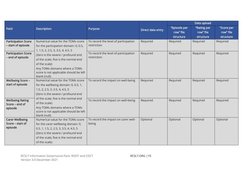|                            |                                                     |                                      |                   | Data upload  |                  |            |
|----------------------------|-----------------------------------------------------|--------------------------------------|-------------------|--------------|------------------|------------|
| <b>Field</b>               | <b>Description</b>                                  | Purpose                              | Direct data entry | "Episode per | "Rating per      | "Score per |
|                            |                                                     |                                      |                   | row" file    | row" file        | row" file  |
|                            |                                                     |                                      |                   | structure    | <b>structure</b> | structure  |
| <b>Participation Score</b> | Numerical value for the TOMs score                  | To record the level of participation | Required          | Required     | Required         | Required   |
| - start of episode         | for the participation domain: 0, 0.5,               | restriction                          |                   |              |                  |            |
| <b>Participation Score</b> | 1, 1.5, 2, 2.5, 3, 3.5, 4, 4.5, 5                   | To record the level of participation | Required          | Required     | Required         | Required   |
| - end of episode           | (Zero is the severe / profound end                  | restriction                          |                   |              |                  |            |
|                            | of the scale, five is the normal end                |                                      |                   |              |                  |            |
|                            | of the scale)                                       |                                      |                   |              |                  |            |
|                            | Any TOMs domains where a TOMs                       |                                      |                   |              |                  |            |
|                            | score is not applicable should be left              |                                      |                   |              |                  |            |
| <b>Wellbeing Score -</b>   | blank (null).<br>Numerical value for the TOMs score | To record the impact on well-being   | Required          | Required     | Required         | Required   |
| start of episode           | for the wellbeing domain: 0, 0.5, 1,                |                                      |                   |              |                  |            |
|                            | 1.5, 2, 2.5, 3, 3.5, 4, 4.5, 5                      |                                      |                   |              |                  |            |
|                            | (Zero is the severe / profound end                  |                                      |                   |              |                  |            |
|                            | of the scale, five is the normal end                |                                      |                   |              |                  |            |
| <b>Wellbeing Rating</b>    | of the scale)                                       | To record the impact on well-being   | Required          | Required     | Required         | Required   |
| Score – end of<br>episode  | Any TOMs domains where a TOMs                       |                                      |                   |              |                  |            |
|                            | score is not applicable should be left              |                                      |                   |              |                  |            |
|                            | blank (null).                                       |                                      |                   |              |                  |            |
| <b>Carer Wellbeing</b>     | Numerical value for the TOMs score                  | To record the impact on carer well-  | Optional          | Optional     | Optional         | Optional   |
| Score – start of           | for the carer wellbeing domain: 0,                  | being                                |                   |              |                  |            |
| episode                    | 0.5, 1, 1.5, 2, 2.5, 3, 3.5, 4, 4.5, 5              |                                      |                   |              |                  |            |
|                            | (Zero is the severe / profound end                  |                                      |                   |              |                  |            |
|                            | of the scale, five is the normal end                |                                      |                   |              |                  |            |
|                            | of the scale)                                       |                                      |                   |              |                  |            |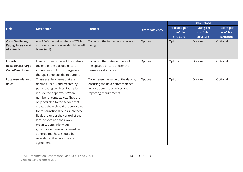|                                                            |                                                                                          |                                              |                   |              | Data upload |            |
|------------------------------------------------------------|------------------------------------------------------------------------------------------|----------------------------------------------|-------------------|--------------|-------------|------------|
| <b>Field</b>                                               | <b>Description</b>                                                                       | Purpose                                      | Direct data entry | "Episode per | "Rating per | "Score per |
|                                                            |                                                                                          |                                              |                   | row" file    | row" file   | row" file  |
|                                                            |                                                                                          |                                              |                   | structure    | structure   | structure  |
| <b>Carer Wellbeing</b><br>Rating Score - end<br>of episode | Any TOMs domains where a TOMs<br>score is not applicable should be left<br>blank (null). | To record the impact on carer well-<br>being | Optional          | Optional     | Optional    | Optional   |
| End-of-                                                    | Free text description of the status at                                                   | To record the status at the end of           | Optional          | Optional     | Optional    | Optional   |
| episode/Discharge                                          | the end of the episode of care                                                           | the episode of care and/or the               |                   |              |             |            |
| Code/Description                                           | and/or reason for discharge (e.g.                                                        | reason for discharge                         |                   |              |             |            |
|                                                            | therapy complete, did not attend)                                                        |                                              |                   |              |             |            |
| Local/user-defined                                         | These are data items that are                                                            | To increase the value of the data by         | Optional          | Optional     | Optional    | Optional   |
| fields                                                     | deemed useful, and created by                                                            | ensuring the data better matches             |                   |              |             |            |
|                                                            | participating services. Examples                                                         | local structures, practices and              |                   |              |             |            |
|                                                            | include the department/team,                                                             | reporting requirements.                      |                   |              |             |            |
|                                                            | number of contacts etc. They are                                                         |                                              |                   |              |             |            |
|                                                            | only available to the service that                                                       |                                              |                   |              |             |            |
|                                                            | created them should the service opt                                                      |                                              |                   |              |             |            |
|                                                            | for this functionality. As such these                                                    |                                              |                   |              |             |            |
|                                                            | fields are under the control of the                                                      |                                              |                   |              |             |            |
|                                                            | local service and their own                                                              |                                              |                   |              |             |            |
|                                                            | organisation's information                                                               |                                              |                   |              |             |            |
|                                                            | governance frameworks must be                                                            |                                              |                   |              |             |            |
|                                                            | adhered to. These should be                                                              |                                              |                   |              |             |            |
|                                                            | recorded in the data sharing                                                             |                                              |                   |              |             |            |
|                                                            | agreement.                                                                               |                                              |                   |              |             |            |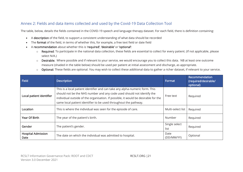# Annex 2: Fields and data items collected and used by the Covid-19 Data Collection Tool

The table, below, details the fields contained in the COVID-19 speech and language therapy dataset. For each field, there is definition containing:

- A description of the field, to support a consistent understanding of what data should be recorded
- The format of the field, in terms of whether this, for example, a free text field or date field
- A recommendation about whether this is 'required', 'desirable' or 'optional':
	- o Required: To participate in the national data collection, these fields are essential to collect for every patient. (If not applicable, please select N/A.)
	- o Desirable: Where possible and if relevant to your service, we would encourage you to collect this data. NB at least one outcome measure (shaded in the table below) should be used per patient at initial assessment and discharge, as appropriate.
	- o Optional: These fields are optional. You may wish to collect these additional data to gather a richer dataset, if relevant to your service.

| <b>Field</b>                      | <b>Description</b>                                                                                                                                                                                                                                                                                               | Format                | Recommendation<br>(required/desirable/<br>optional) |
|-----------------------------------|------------------------------------------------------------------------------------------------------------------------------------------------------------------------------------------------------------------------------------------------------------------------------------------------------------------|-----------------------|-----------------------------------------------------|
| Local patient identifier          | This is a local patient identifier and can take any alpha-numeric form. This<br>should not be the NHS number and any code used should not identify the<br>individual outside of the organisation. If possible, it would be desirable for the<br>same local patient identifier to be used throughout the pathway. | Free text             | Required                                            |
| Location                          | This is where the individual was seen for the episode of care.                                                                                                                                                                                                                                                   | Multi-select list     | Required                                            |
| <b>Year Of Birth</b>              | The year of the patient's birth.                                                                                                                                                                                                                                                                                 | Number                | Required                                            |
| Gender                            | The patient's gender.                                                                                                                                                                                                                                                                                            | Single select<br>list | Required                                            |
| <b>Hospital Admission</b><br>Date | The date on which the individual was admitted to hospital.                                                                                                                                                                                                                                                       | Date<br>(DD/MM/YY)    | Optional                                            |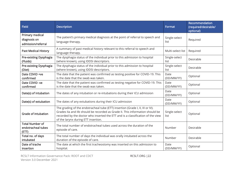| <b>Field</b>                                          | <b>Description</b>                                                                                                                                                                                                                                                                        | Format                | Recommendation<br>(required/desirable/<br>optional) |
|-------------------------------------------------------|-------------------------------------------------------------------------------------------------------------------------------------------------------------------------------------------------------------------------------------------------------------------------------------------|-----------------------|-----------------------------------------------------|
| Primary medical<br>diagnosis on<br>admission/referral | The patient's primary medical diagnosis at the point of referral to speech and<br>language therapy.                                                                                                                                                                                       | Single-select<br>list | Required                                            |
| <b>Past Medical History</b>                           | A summary of past medical history relevant to this referral to speech and<br>language therapy.                                                                                                                                                                                            | Multi-select list     | Required                                            |
| Pre-existing Dysphagia<br>(Fluids)                    | The dysphagia status of the individual prior to this admission to hospital<br>(where known), using IDDSI descriptors.                                                                                                                                                                     | Single-select<br>list | Desirable                                           |
| Pre-existing Dysphagia<br>(Diet)                      | The dysphagia status of the individual prior to this admission to hospital<br>(where known), using IDDSI descriptors.                                                                                                                                                                     | Single-select<br>list | Desirable                                           |
| Date COVID +ve<br>confirmed                           | The date that the patient was confirmed as testing positive for COVID-19. This<br>is the date that the swab was taken.                                                                                                                                                                    | Date<br>(DD/MM/YY)    | Optional                                            |
| Date COVID-ve<br>confirmed                            | The date that the patient was confirmed as testing negative for COVID-19. This<br>is the date that the swab was taken.                                                                                                                                                                    | Date<br>(DD/MM/YY)    | Optional                                            |
| Date(s) of intubation                                 | The dates of any intubation or re-intubations during their ICU admission                                                                                                                                                                                                                  | Date<br>(DD/MM/YY)    | Optional                                            |
| Date(s) of extubation                                 | The dates of any extubations during their ICU admission                                                                                                                                                                                                                                   | Date<br>(DD/MM/YY)    | Optional                                            |
| <b>Grade of intubation</b>                            | The grading of the endotracheal tube (ETT) insertion (Grade I, II, III or IV).<br>Grades IIa and IIb should be recorded as Grade II. This information should be<br>recorded by the doctor who inserted the ETT and is a classification of the view<br>of the larynx during ETT insertion. | Single-select<br>list | Optional                                            |
| <b>Total Number of</b><br>endotracheal tubes<br>(ETT) | The total number of endotracheal tubes used across the duration of the<br>episode of care.                                                                                                                                                                                                | Number                | Desirable                                           |
| Total no. of days<br>intubated                        | The total number of days the individual was orally intubated across the<br>duration of the episode of care.                                                                                                                                                                               | Number                | Desirable                                           |
| Date of trache<br>insertion                           | The date at which the first tracheostomy was inserted on this admission to<br>hospital.                                                                                                                                                                                                   | Date<br>(DD/MM/YY)    | Optional                                            |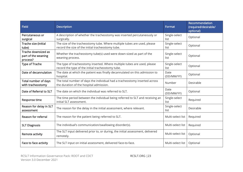| <b>Field</b>                                           | <b>Description</b>                                                                                                            | Format                | Recommendation<br>(required/desirable/<br>optional) |
|--------------------------------------------------------|-------------------------------------------------------------------------------------------------------------------------------|-----------------------|-----------------------------------------------------|
| Percutaneous or<br>surgical                            | A description of whether the tracheostomy was inserted percutaneously or<br>surgically.                                       | Single-select<br>list | Optional                                            |
| Trache size (initial<br>tube)                          | The size of the tracheostomy tube. Where multiple tubes are used, please<br>record the size of the initial tracheostomy tube. | Single-select<br>list | Optional                                            |
| Trache downsized as<br>part of the weaning<br>process? | Whether the tracheostomy tube(s) used were down-sized as part of the<br>weaning process.                                      | Single-select<br>list | Optional                                            |
| <b>Type of Trache</b>                                  | The type of tracheostomy inserted. Where multiple tubes are used, please<br>record the type of the initial tracheostomy tube. | Single-select<br>list | Optional                                            |
| Date of decannulation                                  | The date at which the patient was finally decannulated on this admission to<br>hospital.                                      | Date<br>(DD/MM/YY)    | Optional                                            |
| Total number of days<br>with tracheostomy              | The total number of days the individual had a tracheostomy inserted across<br>the duration of the hospital admission.         | Number                | Desirable                                           |
| Date of Referral to SLT                                | The date on which the individual was referred to SLT.                                                                         | Date<br>(DD/MM/YY)    | Optional                                            |
| Response time                                          | The time period between the individual being referred to SLT and receiving an<br>initial SLT assessment.                      | Single-select<br>list | Required                                            |
| Reason for delay in SLT<br>assessment                  | The reason for the delay in the initial assessment, where relevant.                                                           | Single-select<br>list | Desirable                                           |
| <b>Reason for referral</b>                             | The reason for the patient being referred to SLT.                                                                             | Multi-select list     | Required                                            |
| <b>SLT Diagnosis</b>                                   | The individual's communication/swallowing disorder(s).                                                                        | Multi-select list     | Required                                            |
| Remote activity                                        | The SLT input delivered prior to, or during, the initial assessment, delivered<br>remotely.                                   | Multi-select list     | Optional                                            |
| Face to face activity                                  | The SLT input on initial assessment, delivered face-to-face.                                                                  | Multi-select list     | Optional                                            |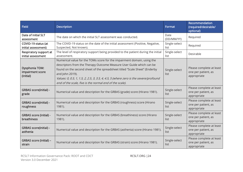| <b>Field</b>                                           | <b>Description</b>                                                                                                                                                                                                                                                                                                                                                                                  | Format                | Recommendation<br>(required/desirable/<br>optional)            |
|--------------------------------------------------------|-----------------------------------------------------------------------------------------------------------------------------------------------------------------------------------------------------------------------------------------------------------------------------------------------------------------------------------------------------------------------------------------------------|-----------------------|----------------------------------------------------------------|
| Date of initial SLT<br>assessment                      | The date on which the initial SLT assessment was conducted.                                                                                                                                                                                                                                                                                                                                         | Date<br>(DD/MM/YY)    | Required                                                       |
| COVID-19 status (at<br>initial assessment)             | The COVID-19 status on the date of the initial assessment (Positive, Negative,<br>Suspected, Not known).                                                                                                                                                                                                                                                                                            | Single-select<br>list | Required                                                       |
| Respiratory support at<br>initial assessment           | The level of respiratory support being provided to the patient during the initial<br>assessment.                                                                                                                                                                                                                                                                                                    | Single-select<br>list | Desirable                                                      |
| <b>Dysphonia TOM:</b><br>impairment score<br>(initial) | Numerical value for the TOMs score for the impairment domain, using the<br>descriptors from the Therapy Outcome Measure User Guide which can be<br>found on the second sheet of the spreadsheet titled "Scale Sheet" (Enderby<br>and John 2019).<br>Values: 0, 0.5, 1, 1.5, 2, 2.5, 3, 3.5, 4, 4.5, 5 (where zero is the severe/profound<br>end of the scale, five is the normal end of the scale). | Single-select<br>list | Please complete at least<br>one per patient, as<br>appropriate |
| <b>GRBAS score(initial) -</b><br>grade                 | Numerical value and description for the GRBAS (grade) score (Hirano 1981).                                                                                                                                                                                                                                                                                                                          | Single-select<br>list | Please complete at least<br>one per patient, as<br>appropriate |
| <b>GRBAS score(initial) -</b><br>roughness             | Numerical value and description for the GRBAS (roughness) score (Hirano<br>1981).                                                                                                                                                                                                                                                                                                                   | Single-select<br>list | Please complete at least<br>one per patient, as<br>appropriate |
| <b>GRBAS score (initial) -</b><br>breathiness          | Numerical value and description for the GRBAS (breathiness) score (Hirano<br>1981).                                                                                                                                                                                                                                                                                                                 | Single-select<br>list | Please complete at least<br>one per patient, as<br>appropriate |
| <b>GRBAS score(initial) -</b><br>asthenia              | Numerical value and description for the GRBAS (asthenia) score (Hirano 1981).                                                                                                                                                                                                                                                                                                                       | Single-select<br>list | Please complete at least<br>one per patient, as<br>appropriate |
| GRBAS score (initial) -<br>strain                      | Numerical value and description for the GRBAS (strain) score (Hirano 1981).                                                                                                                                                                                                                                                                                                                         | Single-select<br>list | Please complete at least<br>one per patient, as<br>appropriate |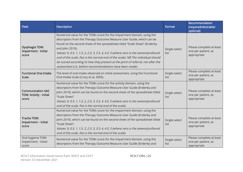| <b>Field</b>                                                 | <b>Description</b>                                                                                                                                                                                                                                                                                                                                                                                                                                                                                                                                                           | Format                | <b>Recommendation</b><br>(required/desirable/<br>optional)     |
|--------------------------------------------------------------|------------------------------------------------------------------------------------------------------------------------------------------------------------------------------------------------------------------------------------------------------------------------------------------------------------------------------------------------------------------------------------------------------------------------------------------------------------------------------------------------------------------------------------------------------------------------------|-----------------------|----------------------------------------------------------------|
| <b>Dysphagia TOM:</b><br>impairment - initial<br>score       | Numerical value for the TOMs score for the impairment domain, using the<br>descriptors from the Therapy Outcome Measure User Guide, which can be<br>found on the second sheet of the spreadsheet titled "Scale Sheet" (Enderby<br>and John 2019).<br>Values: 0, 0.5, 1, 1.5, 2, 2.5, 3, 3.5, 4, 4.5, 5 (where zero is the severe/profound<br>end of the scale, five is the normal end of the scale). NB The individual should<br>be scored according to how they present at the point of referral, not after the<br>assessment (i.e. before recommendations have been made). | Single-select<br>list | Please complete at least<br>one per patient, as<br>appropriate |
| <b>Functional Oral Intake</b><br><b>Scale</b>                | The level of oral intake observed on initial assessment, using the Functional<br>Oral Intake Scale (Crary et al, 2005).                                                                                                                                                                                                                                                                                                                                                                                                                                                      | Single-select<br>list | Please complete at least<br>one per patient, as<br>appropriate |
| <b>Communication AAC</b><br>TOM: Activity - initial<br>score | Numerical value for the TOMs score for the activity domain, using the<br>descriptors from the Therapy Outcome Measure User Guide (Enderby and<br>John 2019), which can be found on the second sheet of the spreadsheet titled<br>"Scale Sheet".<br>Values: 0, 0.5, 1, 1.5, 2, 2.5, 3, 3.5, 4, 4.5, 5 (where zero is the severe/profound<br>end of the scale, five is the normal end of the scale).                                                                                                                                                                           | Single-select<br>list | Please complete at least<br>one per patient, as<br>appropriate |
| <b>Trache TOM:</b><br>impairment - initial<br>score          | Numerical value for the TOMs score for the impairment domain, using the<br>descriptors from the Therapy Outcome Measure User Guide (Enderby and<br>John 2019), which can be found on the second sheet of the spreadsheet titled<br>"Scale Sheet".<br>Values: 0, 0.5, 1, 1.5, 2, 2.5, 3, 3.5, 4, 4.5, 5 (where zero is the severe/profound<br>end of the scale, five is the normal end of the scale).                                                                                                                                                                         | Single-select<br>list | Please complete at least<br>one per patient, as<br>appropriate |
| Oral hygiene TOM:<br>impairment - initial<br>score           | Numerical value for the TOMs score for the impairment domain, using the<br>descriptors from the Therapy Outcome Measure User Guide (Enderby and                                                                                                                                                                                                                                                                                                                                                                                                                              | Single-select<br>list | Please complete at least<br>one per patient, as<br>appropriate |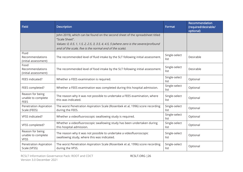| <b>Field</b>                                          | <b>Description</b>                                                                                                                                                                                                                                | Format                | Recommendation<br>(required/desirable/<br>optional) |
|-------------------------------------------------------|---------------------------------------------------------------------------------------------------------------------------------------------------------------------------------------------------------------------------------------------------|-----------------------|-----------------------------------------------------|
|                                                       | John 2019), which can be found on the second sheet of the spreadsheet titled<br>"Scale Sheet".<br>Values: 0, 0.5, 1, 1.5, 2, 2.5, 3, 3.5, 4, 4.5, 5 (where zero is the severe/profound<br>end of the scale, five is the normal end of the scale). |                       |                                                     |
| Fluid<br>Recommendations<br>(initial assessment)      | The recommended level of fluid intake by the SLT following initial assessment.                                                                                                                                                                    | Single-select<br>list | Desirable                                           |
| Food<br>Recommendations<br>(initial assessment)       | The recommended level of food intake by the SLT following initial assessment.                                                                                                                                                                     | Single-select<br>list | Desirable                                           |
| FEES indicated?                                       | Whether a FEES examination is required.                                                                                                                                                                                                           | Single-select<br>list | Optional                                            |
| FEES completed?                                       | Whether a FEES examination was completed during this hospital admission.                                                                                                                                                                          | Single-select<br>list | Optional                                            |
| Reason for being<br>unable to complete<br><b>FEES</b> | The reason why it was not possible to undertake a FEES examination, where<br>this was indicated.                                                                                                                                                  | Single-select<br>list | Optional                                            |
| Penetration Aspiration<br>Scale (FEES)                | The worst Penetration Aspiration Scale (Rosenbek et al, 1996) score recording<br>during the FEES.                                                                                                                                                 | Single-select<br>list | Optional                                            |
| <b>VFSS indicated?</b>                                | Whether a videofluoroscopic swallowing study is required.                                                                                                                                                                                         | Single-select<br>list | Optional                                            |
| VFSS completed?                                       | Whether a videofluoroscopic swallowing study has been undertaken during<br>this hospital admission.                                                                                                                                               | Single-select<br>list | Optional                                            |
| Reason for being<br>unable to complete<br><b>VFSS</b> | The reason why it was not possible to undertake a videofluoroscopic<br>swallowing study, where this was indicated.                                                                                                                                | Single-select<br>list | Optional                                            |
| Penetration Aspiration<br>Scale (VFSS)                | The worst Penetration Aspiration Scale (Rosenbek et al, 1996) score recording<br>during the VFSS.                                                                                                                                                 | Single-select<br>list | Optional                                            |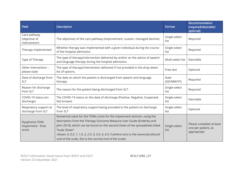| <b>Field</b>                                   | <b>Description</b>                                                                                                                                                                                                                                                                                                                                                                                   | <b>Format</b>         | Recommendation<br>(required/desirable/<br>optional)            |
|------------------------------------------------|------------------------------------------------------------------------------------------------------------------------------------------------------------------------------------------------------------------------------------------------------------------------------------------------------------------------------------------------------------------------------------------------------|-----------------------|----------------------------------------------------------------|
| Care pathway<br>(objective of<br>intervention) | The objectives of the care pathway (improvement, sustain, managed decline).                                                                                                                                                                                                                                                                                                                          | Single-select<br>list | Required                                                       |
| Therapy implemented                            | Whether therapy was implemented with a given individual during the course<br>of the hospital admission.                                                                                                                                                                                                                                                                                              | Single-select<br>list | Required                                                       |
| Type of Therapy                                | The type of therapy/intervention delivered by and/or on the advice of speech<br>and language therapy during the hospital admission.                                                                                                                                                                                                                                                                  | Multi-select list     | Desirable                                                      |
| Other intervention -<br>please state           | The type of therapy/intervention delivered if not provided in the drop-down<br>list of options.                                                                                                                                                                                                                                                                                                      | Free text             | Optional                                                       |
| Date of discharge from<br><b>SLT</b>           | The date on which the patient is discharged from speech and language<br>therapy.                                                                                                                                                                                                                                                                                                                     | Date<br>(DD/MM/YY)    | Required                                                       |
| Reason for discharge<br>from SLT               | The reason for the patient being discharged from SLT.                                                                                                                                                                                                                                                                                                                                                | Single-select<br>list | Required                                                       |
| COVID-19 status (on<br>discharge)              | The COVID-19 status on the date of discharge (Positive, Negative, Suspected,<br>Not known)                                                                                                                                                                                                                                                                                                           | Single-select<br>list | Desirable                                                      |
| Respiratory support at<br>discharge from SLT   | The level of respiratory support being provided to the patient on discharge<br>from SLT                                                                                                                                                                                                                                                                                                              | Single-select<br>list | Optional                                                       |
| Dysphonia TOM:<br>impairment - final<br>score  | Numerical value for the TOMs score for the impairment domain, using the<br>descriptors from the Therapy Outcome Measure User Guide (Enderby and<br>John 2019), which can be found on the second sheet of the spreadsheet titled<br>"Scale Sheet".<br>Values: 0, 0.5, 1, 1.5, 2, 2.5, 3, 3.5, 4, 4.5, 5 (where zero is the severe/profound<br>end of the scale, five is the normal end of the scale). | Single-select<br>list | Please complete at least<br>one per patient, as<br>appropriate |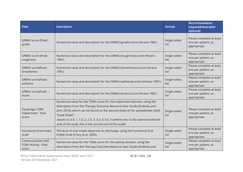| <b>Field</b>                                               | <b>Description</b>                                                                                                                                                                                                                                                                                                                                                                                   | Format                | Recommendation<br>(required/desirable/<br>optional)            |
|------------------------------------------------------------|------------------------------------------------------------------------------------------------------------------------------------------------------------------------------------------------------------------------------------------------------------------------------------------------------------------------------------------------------------------------------------------------------|-----------------------|----------------------------------------------------------------|
| GRBAS score (final) -<br>grade                             | Numerical value and description for the GRBAS (grade) score (Hirano 1981).                                                                                                                                                                                                                                                                                                                           | Single-select<br>list | Please complete at least<br>one per patient, as<br>appropriate |
| GRBAS score (final) -<br>roughness                         | Numerical value and description for the GRBAS (roughness) score (Hirano<br>1981).                                                                                                                                                                                                                                                                                                                    | Single-select<br>list | Please complete at least<br>one per patient, as<br>appropriate |
| GRBAS score(final) -<br>breathiness                        | Numerical value and description for the GRBAS (breathiness) score (Hirano<br>1981).                                                                                                                                                                                                                                                                                                                  | Single-select<br>list | Please complete at least<br>one per patient, as<br>appropriate |
| GRBAS score(final) -<br>asthenia                           | Numerical value and description for the GRBAS (asthenia) score (Hirano 1981).                                                                                                                                                                                                                                                                                                                        | Single-select<br>list | Please complete at least<br>one per patient, as<br>appropriate |
| GRBAS score(final) -<br>strain                             | Numerical value and description for the GRBAS (strain) score (Hirano 1981).                                                                                                                                                                                                                                                                                                                          | Single-select<br>list | Please complete at least<br>one per patient, as<br>appropriate |
| Dysphagia TOM:<br>impairment - final<br>score              | Numerical value for the TOMs score for the impairment domain, using the<br>descriptors from the Therapy Outcome Measure User Guide (Enderby and<br>John 2019), which can be found on the second sheet of the spreadsheet titled<br>"Scale Sheet".<br>Values: 0, 0.5, 1, 1.5, 2, 2.5, 3, 3.5, 4, 4.5, 5 (where zero is the severe/profound<br>end of the scale, five is the normal end of the scale). | Single-select<br>list | Please complete at least<br>one per patient, as<br>appropriate |
| <b>Functional Oral Intake</b><br>Scale                     | The level of oral intake observed on discharge, using the Functional Oral<br>Intake Scale (Crary et al, 2005).                                                                                                                                                                                                                                                                                       | Single-select<br>list | Please complete at least<br>one per patient, as<br>appropriate |
| <b>Communication AAC</b><br>TOM: Activity - final<br>score | Numerical value for the TOMs score for the activity domain, using the<br>descriptors from the Therapy Outcome Measure User Guide (Enderby and                                                                                                                                                                                                                                                        | Single-select<br>list | Please complete at least<br>one per patient, as<br>appropriate |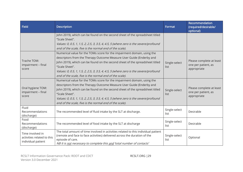| <b>Field</b>                                                         | <b>Description</b>                                                                                                                                                                                                                                                                                                                                                                                   | Format                | <b>Recommendation</b><br>(required/desirable/<br>optional)     |
|----------------------------------------------------------------------|------------------------------------------------------------------------------------------------------------------------------------------------------------------------------------------------------------------------------------------------------------------------------------------------------------------------------------------------------------------------------------------------------|-----------------------|----------------------------------------------------------------|
|                                                                      | John 2019), which can be found on the second sheet of the spreadsheet titled<br>"Scale Sheet".<br>Values: 0, 0.5, 1, 1.5, 2, 2.5, 3, 3.5, 4, 4.5, 5 (where zero is the severe/profound<br>end of the scale, five is the normal end of the scale).                                                                                                                                                    |                       |                                                                |
| Trache TOM:<br>impairment - final<br>score                           | Numerical value for the TOMs score for the impairment domain, using the<br>descriptors from the Therapy Outcome Measure User Guide (Enderby and<br>John 2019), which can be found on the second sheet of the spreadsheet titled<br>"Scale Sheet".<br>Values: 0, 0.5, 1, 1.5, 2, 2.5, 3, 3.5, 4, 4.5, 5 (where zero is the severe/profound<br>end of the scale, five is the normal end of the scale). | Single-select<br>list | Please complete at least<br>one per patient, as<br>appropriate |
| Oral hygiene TOM:<br>impairment - final<br>score                     | Numerical value for the TOMs score for the impairment domain, using the<br>descriptors from the Therapy Outcome Measure User Guide (Enderby and<br>John 2019), which can be found on the second sheet of the spreadsheet titled<br>"Scale Sheet".<br>Values: 0, 0.5, 1, 1.5, 2, 2.5, 3, 3.5, 4, 4.5, 5 (where zero is the severe/profound<br>end of the scale, five is the normal end of the scale). | Single-select<br>list | Please complete at least<br>one per patient, as<br>appropriate |
| Fluid<br>Recommendations<br>(discharge)                              | The recommended level of fluid intake by the SLT at discharge.                                                                                                                                                                                                                                                                                                                                       | Single-select<br>list | Desirable                                                      |
| Food<br>Recommendations<br>(discharge)                               | The recommended level of food intake by the SLT at discharge                                                                                                                                                                                                                                                                                                                                         | Single-select<br>list | Desirable                                                      |
| Time involved in<br>activities related to this<br>individual patient | The total amount of time involved in activities related to this individual patient<br>(remote and face to face activities) delivered across the duration of the<br>episode of care.<br>NB It is not necessary to complete this and 'total number of contacts'                                                                                                                                        | Single-select<br>list | Optional                                                       |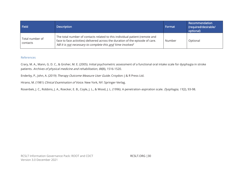| <b>Field</b>                | <b>Description</b>                                                                                                                                                                                                           | Format | Recommendation<br>(required/desirable/<br>optional) |
|-----------------------------|------------------------------------------------------------------------------------------------------------------------------------------------------------------------------------------------------------------------------|--------|-----------------------------------------------------|
| Total number of<br>contacts | The total number of contacts related to this individual patient (remote and<br>face to face activities) delivered across the duration of the episode of care.<br>NB It is not necessary to complete this and 'time involved' | Number | Optional                                            |

# References

Crary, M. A., Mann, G. D. C., & Groher, M. E. (2005). Initial psychometric assessment of a functional oral intake scale for dysphagia in stroke patients. Archives of physical medicine and rehabilitation, <sup>86</sup>(8), 1516-1520.

Enderby, P., John, A. (2019) Therapy Outcome Measure User Guide. Croydon: J & R Press Ltd.

Hirano, M. (1981) Clinical Examination of Voice. New York, NY: Springer-Verlag.

Rosenbek, J. C., Robbins, J. A., Roecker, E. B., Coyle, J. L., & Wood, J. L. (1996). A penetration-aspiration scale. *Dysphagia*, 11(2), 93-98.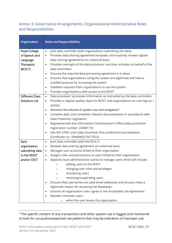# Annex 3: Governance Arrangements: Organisational Administrative Roles and Responsibilities

| Organisation                                                                      | <b>Roles and Responsibilities</b>                                                                                                                                                                                                                                                                                                                                                                                                                                                                                                                                                                                           |
|-----------------------------------------------------------------------------------|-----------------------------------------------------------------------------------------------------------------------------------------------------------------------------------------------------------------------------------------------------------------------------------------------------------------------------------------------------------------------------------------------------------------------------------------------------------------------------------------------------------------------------------------------------------------------------------------------------------------------------|
| <b>Royal College</b><br>of Speech and<br>Language<br><b>Therapists</b><br>(RCSLT) | Joint data controller (with organisations submitting the data)<br>$\bullet$<br>Provides data sharing agreement template, and routinely reviews signed<br>$\bullet$<br>data sharing agreements on a biennial basis<br>Provides oversight of the data processor and their activities on behalf of the<br>$\bullet$<br>data controllers<br>Ensures the required data processing agreement is in place<br>$\bullet$<br>Ensures that organisations using the system are legitimate and have a<br>$\bullet$<br>justified purpose for accessing the system<br>Validates requests from organisations to use the system<br>$\bullet$ |
|                                                                                   | Provides organisations with access to the ROOT<br>$\bullet$                                                                                                                                                                                                                                                                                                                                                                                                                                                                                                                                                                 |
| <b>Different Class</b><br><b>Solutions Ltd</b>                                    | Data processor: processes information as instructed by the data controllers<br>$\bullet$<br>Provides a regular quality report to RCSLT and organisations on user log-ins /<br>$\bullet$<br>activity                                                                                                                                                                                                                                                                                                                                                                                                                         |
|                                                                                   | Monitors the volume of system use and navigation <sup>2</sup><br>$\bullet$                                                                                                                                                                                                                                                                                                                                                                                                                                                                                                                                                  |
|                                                                                   | Complies with, and completes relevant documentation in accordance with,<br>$\bullet$<br>Data Protection Legislation                                                                                                                                                                                                                                                                                                                                                                                                                                                                                                         |
|                                                                                   | Registered with the Information Commissioner's Office (data protection<br>$\bullet$<br>registration number: Z2840119)<br>Has ISO 27001 and Cyber Essentials Plus certification/accreditation<br>$\bullet$<br>(Certificate no.: 5944466513017922)                                                                                                                                                                                                                                                                                                                                                                            |
| Each                                                                              | Joint data controller (with the RCSLT)<br>$\bullet$                                                                                                                                                                                                                                                                                                                                                                                                                                                                                                                                                                         |
| organisation                                                                      | Reviews data sharing agreement on a biennial basis<br>$\bullet$                                                                                                                                                                                                                                                                                                                                                                                                                                                                                                                                                             |
| submitting data                                                                   | Manages user accounts linked to their organisation<br>$\bullet$                                                                                                                                                                                                                                                                                                                                                                                                                                                                                                                                                             |
| to the ROOT                                                                       | Assigns roles and permissions to users linked to their organisation.<br>$\bullet$                                                                                                                                                                                                                                                                                                                                                                                                                                                                                                                                           |
| and/or CDCT                                                                       | Appoints local administrative user(s) to manage users which will include:<br>$\bullet$<br>adding users to the ROOT<br>$\circ$                                                                                                                                                                                                                                                                                                                                                                                                                                                                                               |
|                                                                                   | changing user roles and privileges<br>$\circ$                                                                                                                                                                                                                                                                                                                                                                                                                                                                                                                                                                               |
|                                                                                   | monitoring users<br>$\circ$                                                                                                                                                                                                                                                                                                                                                                                                                                                                                                                                                                                                 |
|                                                                                   | removing/suspending users<br>$\circ$                                                                                                                                                                                                                                                                                                                                                                                                                                                                                                                                                                                        |
|                                                                                   | Ensures that usernames are valid email addresses and all users have a                                                                                                                                                                                                                                                                                                                                                                                                                                                                                                                                                       |
|                                                                                   | legitimate reason for accessing the databases,                                                                                                                                                                                                                                                                                                                                                                                                                                                                                                                                                                              |
|                                                                                   | Ensures all organisation users agree to the Acceptable Use Agreement<br>$\bullet$<br>Revokes /removes users                                                                                                                                                                                                                                                                                                                                                                                                                                                                                                                 |
|                                                                                   | when the user leaves the organisation<br>$\circ$                                                                                                                                                                                                                                                                                                                                                                                                                                                                                                                                                                            |

 $2$  The specific content of any transactions and other system use is logged and monitored to look for unusual/unexpected use patterns that may be indicators of improper use.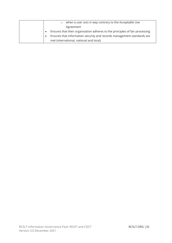| when a user acts in way contrary to the Acceptable Use<br>$\circ$            |
|------------------------------------------------------------------------------|
| Agreement                                                                    |
| Ensures that their organisation adheres to the principles of fair processing |
| Ensures that information security and records management standards are       |
| met (international, national and local)                                      |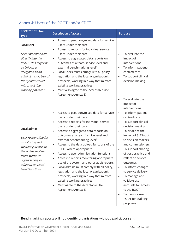# Annex 4: Users of the ROOT and/or CDCT

| <b>ROOT/CDCT User</b><br><b>Type</b>                                                                                                                                                                     | <b>Description of access</b>                                                                                                                                                                                                                                                                                                                                                                                                                                                                                                                                                                                                                                                                                                                           | <b>Purpose</b>                                                                                                                                                                                                                                                                                                                                                                                                                                                                                                                                                          |
|----------------------------------------------------------------------------------------------------------------------------------------------------------------------------------------------------------|--------------------------------------------------------------------------------------------------------------------------------------------------------------------------------------------------------------------------------------------------------------------------------------------------------------------------------------------------------------------------------------------------------------------------------------------------------------------------------------------------------------------------------------------------------------------------------------------------------------------------------------------------------------------------------------------------------------------------------------------------------|-------------------------------------------------------------------------------------------------------------------------------------------------------------------------------------------------------------------------------------------------------------------------------------------------------------------------------------------------------------------------------------------------------------------------------------------------------------------------------------------------------------------------------------------------------------------------|
| Local user<br>User can enter data<br>directly into the<br>ROOT. This might be<br>a clinician or<br>delegated to an<br>administrator. Use of<br>the system would<br>mirror existing<br>working practices. | Access to pseudonymised data for service<br>$\bullet$<br>users under their care<br>Access to reports for individual service<br>$\bullet$<br>users under their care<br>Access to aggregated data reports on<br>$\bullet$<br>outcomes at a team/service level and<br>external benchmarking level <sup>3</sup><br>Local users must comply with all policy,<br>$\bullet$<br>legislation and the local organisation's<br>protocols, working in a way that mirrors<br>existing working practices<br>Must also agree to the Acceptable Use<br>$\bullet$<br>Agreement (Annex 5)                                                                                                                                                                                | To evaluate the<br>$\bullet$<br>impact of<br>interventions<br>To inform patient-<br>$\bullet$<br>centred care<br>To support clinical<br>decision making                                                                                                                                                                                                                                                                                                                                                                                                                 |
| Local admin<br>User responsible for<br>monitoring and<br>validating access to<br>the online tool for<br>users within an<br>organisation, in<br>addition to "Local<br>User" functions                     | Access to pseudonymised data for service<br>users under their care<br>Access to reports for individual service<br>users under their care<br>Access to aggregated data reports on<br>$\bullet$<br>outcomes at a team/service level and<br>external benchmarking level <sup>3</sup><br>Access to the data upload functions of the<br>ROOT, where appropriate<br>Access to user administration functions<br>Access to reports monitoring appropriate<br>use of the system and other audit reports<br>Local admins must comply with all policy,<br>$\bullet$<br>legislation and the local organisation's<br>protocols, working in a way that mirrors<br>existing working practices<br>Must agree to the Acceptable Use<br>$\bullet$<br>Agreement (Annex 5) | To evaluate the<br>$\bullet$<br>impact of<br>interventions<br>To inform patient-<br>$\bullet$<br>centred care<br>To support clinical<br>$\bullet$<br>decision making<br>To evidence the<br>$\bullet$<br>impact of SLT input<br>to decision makers<br>and commissioners<br>To support sharing<br>$\bullet$<br>of best practice and<br>reflect on service<br>outcomes<br>To inform changes<br>$\bullet$<br>to service delivery<br>To manage and<br>$\bullet$<br>validate user<br>accounts for access<br>to the ROOT<br>To monitor use of<br>ROOT for auditing<br>purposes |

 $3$  Benchmarking reports will not identify organisations without explicit consent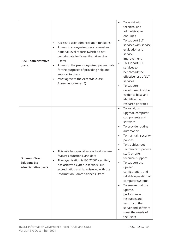| <b>RCSLT administrative</b><br>users                                   | Access to user administration functions<br>$\bullet$<br>Access to anonymised service-level and<br>$\bullet$<br>national-level reports (which do not<br>contain data for fewer than 6 service<br>users)<br>Access to the pseudonymised patient data<br>$\bullet$<br>for the purposes of providing help and<br>support to users<br>Must agree to the Acceptable Use<br>$\bullet$<br>Agreement (Annex 5) | To assist with<br>$\bullet$<br>technical and<br>administrative<br>enquiries<br>To support SLT<br>services with service<br>evaluation and<br>service<br>improvement<br>To support SLT<br>$\bullet$<br>services to<br>benchmark the<br>effectiveness of SLT<br>services<br>To support<br>$\bullet$<br>development of the<br>evidence base and<br>identification of<br>research priorities                                                                                                                           |  |
|------------------------------------------------------------------------|-------------------------------------------------------------------------------------------------------------------------------------------------------------------------------------------------------------------------------------------------------------------------------------------------------------------------------------------------------------------------------------------------------|-------------------------------------------------------------------------------------------------------------------------------------------------------------------------------------------------------------------------------------------------------------------------------------------------------------------------------------------------------------------------------------------------------------------------------------------------------------------------------------------------------------------|--|
| <b>Different Class</b><br><b>Solutions Ltd</b><br>administrative users | This role has special access to all system<br>$\bullet$<br>features, functions, and data<br>The organisation is ISO 27001 certified,<br>$\bullet$<br>has achieved Cyber Essentials Plus<br>accreditation and is registered with the<br>Information Commissioner's Office                                                                                                                              | To install, or<br>$\bullet$<br>upgrade computer<br>components and<br>software<br>To provide routine<br>automation<br>To maintain security<br>policies<br>To troubleshoot<br>To train or supervise<br>staff; or offer<br>technical support<br>To support the<br>$\bullet$<br>upkeep,<br>configuration, and<br>reliable operation of<br>computer systems<br>To ensure that the<br>$\bullet$<br>uptime,<br>performance,<br>resources and<br>security of the<br>server and software<br>meet the needs of<br>the users |  |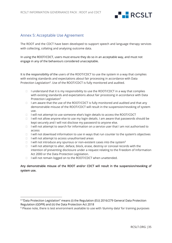

# Annex 5: Acceptable Use Agreement

The ROOT and the CDCT have been developed to support speech and language therapy services with collecting, collating and analysing outcome data.

In using the ROOT/CDCT, users must ensure they do so in an acceptable way, and must not engage in any of the behaviours considered unacceptable.

It is the responsibility of the users of the ROOT/CDCT to use the system in a way that complies with existing standards and expectations about fair processing in accordance with Data Protection Legislation<sup>4</sup>. Use of the ROOT/CDCT is fully monitored and audited.

- $\Box$  I understand that it is my responsibility to use the ROOT/CDCT in a way that complies with existing standards and expectations about fair processing in accordance with Data Protection Legislation<sup>5</sup>
- $\Box$  I am aware that the use of the ROOT/CDCT is fully monitored and audited and that any demonstrable misuse of the ROOT/CDCT will result in the suspension/revoking of system use.
- $\Box$  I will not attempt to use someone else's login details to access the ROOT/CDCT
- $\Box$  I will not allow anyone else to use my login details. I am aware that passwords should be kept securely and I will not disclose my password to anyone else.
- $\Box$  I will not attempt to search for information on a service user that I am not authorised to access
- $\Box$  I will not download information to use in ways that run counter to the system's objectives
- $\Box$  I will not attempt to access unauthorised areas
- $\Box$  I will not introduce any spurious or non-existent cases into the system<sup>5</sup>
- $\Box$  I will not attempt to alter, deface, block, erase, destroy or conceal records with the intention of preventing disclosure under a request relating to the Freedom of Information Act 2000 or the Data Protection Legislation.
- □ I will not remain logged on to the ROOT/CDCT when unattended.

# Any demonstrable misuse of the ROOT and/or CDCT will result in the suspension/revoking of system use.

<sup>4</sup> "Data Protection Legislation" means (i) the Regulation (EU) 2016/279 General Data Protection Regulation (GDPR) and (ii) the Data Protection Act 2018

<sup>&</sup>lt;sup>5</sup> Please note, there is test environment available to use with 'dummy data' for training purposes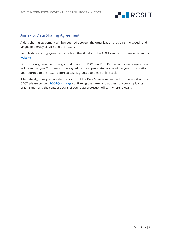

# Annex 6: Data Sharing Agreement

A data sharing agreement will be required between the organisation providing the speech and language therapy service and the RCSLT.

Sample data sharing agreements for both the ROOT and the CDCT can be downloaded from our [website.](https://rcslt-root.org/Content/data-sharing-agreement-)

Once your organisation has registered to use the ROOT and/or CDCT, a data sharing agreement will be sent to you. This needs to be signed by the appropriate person within your organisation and returned to the RCSLT before access is granted to these online tools.

Alternatively, to request an electronic copy of the Data Sharing Agreement for the ROOT and/or CDCT, please contact [ROOT@rcslt.org,](mailto:ROOT@rcslt.org) confirming the name and address of your employing organisation and the contact details of your data protection officer (where relevant).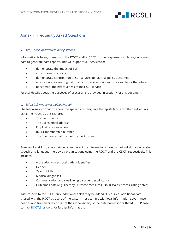

# Annex 7: Frequently Asked Questions

# 1. Why is the information being shared?

Information is being shared with the ROOT and/or CDCT for the purposes of collating outcomes data to generate data reports. This will support SLT services to:

- demonstrate the impact of SLT
- inform commissioning
- demonstrate contribution of SLT services to national policy outcomes
- ensure services are of good quality for service users and sustainable for the future
- benchmark the effectiveness of their SLT service

Further details about the purposes of processing is provided in section 4 of this document.

### 2. What information is being shared?

The following information about the speech and language therapists (and any other individuals using the ROOT/CDCT) is shared:

- The user's name
- The user's email address
- Employing organisation
- RCSLT membership number
- The IP address that the user connects from

Annexes 1 and 2 provide a detailed summary of the information shared about individuals accessing speech and language therapy by organisations using the ROOT and the CDCT, respectively. This includes:

- A pseudonymised local patient identifier
- Gender
- Year of birth
- Medical diagnoses
- Communication and swallowing disorder descriptor(s)
- Outcomes data (e.g. Therapy Outcome Measure (TOMs) scales, scores, rating dates)

With respect to the ROOT only, additional fields may be added, if required. Additional data shared with the ROOT by users of the system must comply with local information governance policies and frameworks and is not the responsibility of the data processor or the RCSLT. Please contact [ROOT@rcslt.org](mailto:ROOT@rcslt.org) for further information.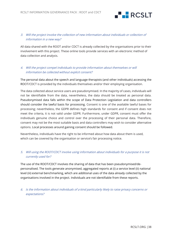

# 3. Will the project involve the collection of new information about individuals or collection of information in a new way?

All data shared with the ROOT and/or CDCT is already collected by the organisations prior to their involvement with this project. These online tools provide services with an electronic method of data collection and analysis.

# 4. Will the project compel individuals to provide information about themselves or will information be collected without explicit consent?

The personal data about the speech and language therapists (and other individuals) accessing the ROOT/CDCT is provided by the individuals themselves and/or their employing organisation.

The data collected about service users are pseudonymised. In the majority of cases, individuals will not be identifiable from the data, nevertheless, the data should be treated as personal data. Pseudonymised data falls within the scope of Data Protection Legislation and data controllers should consider the lawful basis for processing. Consent is one of the available lawful bases for processing; nevertheless, the GDPR defines high standards for consent and if consent does not meet the criteria, it is not valid under GDPR. Furthermore, under GDPR, consent must offer the individuals genuine choice and control over the processing of their personal data. Therefore, consent may not be the most suitable basis and data controllers may wish to consider alternative options. Local processes around gaining consent should be followed.

Nevertheless, individuals have the right to be informed about how data about them is used, which can be covered by the organisation or service's fair processing notice.

# 5. Will using the ROOT/CDCT involve using information about individuals for a purpose it is not currently used for?

The use of the ROOT/CDCT involves the sharing of data that has been pseudonymised/depersonalised. The tools generate anonymised, aggregated reports at (i) a service level (ii) national level (iii) external benchmarking, which are additional uses of the data already collected by the organisations involved in the project. Individuals are not identifiable from these reports.

# 6. Is the information about individuals of a kind particularly likely to raise privacy concerns or expectations?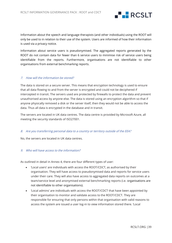

Information about the speech and language therapists (and other individuals) using the ROOT will only be used to in relation to their use of the system. Users are informed of how their information is used via a privacy notice.

Information about service users is pseudonymised. The aggregated reports generated by the ROOT do not contain data for fewer than 6 service users to minimise risk of service users being identifiable from the reports. Furthermore, organisations are not identifiable to other organisations from external benchmarking reports.

# 7. How will the information be stored?

The data is stored on a secure server. This means that encryption technology is used to ensure that all data flowing to and from the server is encrypted and could not be deciphered if intercepted in transit. The servers used are protected by firewalls to protect the data and prevent unauthorised access by anyone else. The data is stored using an encryption algorithm so that if anyone physically removed a disk or the server itself, then they would not be able to access the data. Thus all data is encrypted in the database and in transit.

The servers are located in UK data centres. The data centre is provided by Microsoft Azure, all meeting the security standards of ISO27001.

### 8. Are you transferring personal data to a country or territory outside of the EEA?

No, the servers are located in UK data centres.

# 9. Who will have access to the information?

As outlined in detail in Annex 4, there are four different types of user:

- 'Local users' are individuals with access the ROOT/CDCT, as authorised by their organisation. They will have access to pseudonymised data and reports for service users under their care. They will also have access to aggregated data reports on outcomes at a team/service level and anonymised external benchmarking reports (i.e. organisations are not identifiable to other organisations).
- 'Local admins' are individuals with access the ROOT/CDCT that have been appointed by their organisation to monitor and validate access to the ROOT/CDCT. They are responsible for ensuring that only persons within that organisation with valid reasons to access the system are issued a user log-in to view information stored there. 'Local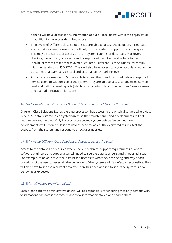

admins' will have access to the information about all 'local users' within the organisation in addition to the access described above.

- Employees of Different Class Solutions Ltd are able to access the pseudonymised data and reports for service users, but will only do so in order to support use of the system. This may be to correct or assess errors in system running or data itself. Moreover, checking the accuracy of screens and or reports will require tracking back to the individual records that are displayed or counted. Different Class Solutions Ltd comply with the standards of ISO 27001. They will also have access to aggregated data reports on outcomes at a team/service level and external benchmarking level.
- Administrative users at RCSLT are able to access the pseudonymised data and reports for service users to support use of the system. They are able to access anonymised servicelevel and national-level reports (which do not contain data for fewer than 6 service users) and user administration functions.

# 10. Under what circumstances will Different Class Solutions Ltd access the data?

Different Class Solutions Ltd, as the data processor, has access to the physical servers where data is held. All data is stored in encrypted tables so that maintenance and developments will not need to decrypt the data. Only in cases of suspected system defects/errors and new developments will Different Class employees need to look at the decrypted results, test the outputs from the system and respond to direct user queries.

# 11. Why would Different Class Solutions Ltd need to access the data?

Access to the data will be required where there is technical support requirement i.e. where software engineers and support staff will need to see the data to understand a reported issue. For example, to be able to either instruct the user as to what they are seeing and why or ask questions of the user to ascertain the behaviour of the system and if a defect is responsible. They will also have to see the resultant data after a fix has been applied to see if the system is now behaving as expected.

# 12. Who will handle the information?

Each organisation's administrative user(s) will be responsible for ensuring that only persons with valid reasons can access the system and view information stored and shared there.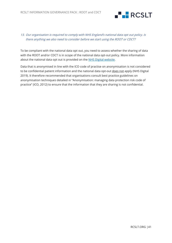

# 13. Our organisation is required to comply with NHS England's national data opt out policy. Is there anything we also need to consider before we start using the ROOT or CDCT?

To be compliant with the national data opt out, you need to assess whether the sharing of data with the ROOT and/or CDCT is in scope of the national data opt-out policy. More information about the national data opt out is provided on the [NHS Digital website.](https://digital.nhs.uk/services/national-data-opt-out-programme/compliance-with-the-national-data-opt-out/compliance-implementation-guide)

Data that is anonymised in line with the ICO code of practise on anonymisation is not considered to be confidential patient information and the national data opt-out does not apply (NHS Digital 2019). It therefore recommended that organisations consult best practice guidelines on anonymisation techniques detailed in "Anonymisation: managing data protection risk code of practice" (ICO, 2012) to ensure that the information that they are sharing is not confidential.